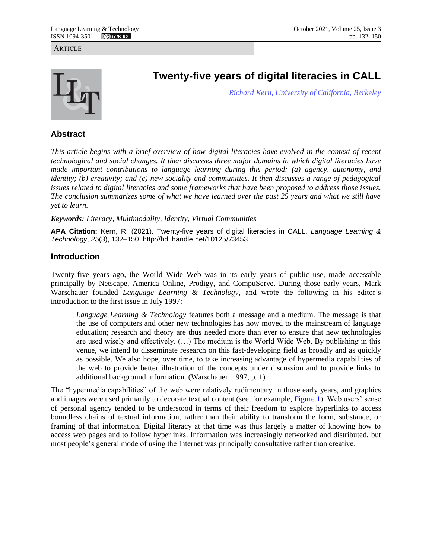**ARTICLE** 



# **Twenty-five years of digital literacies in CALL**

*[Richard Kern,](https://french.berkeley.edu/people/administrator/richard-g-kern) [University of California, Berkeley](https://www.berkeley.edu/)*

## **Abstract**

*This article begins with a brief overview of how digital literacies have evolved in the context of recent technological and social changes. It then discusses three major domains in which digital literacies have made important contributions to language learning during this period: (a) agency, autonomy, and identity; (b) creativity; and (c) new sociality and communities. It then discusses a range of pedagogical issues related to digital literacies and some frameworks that have been proposed to address those issues. The conclusion summarizes some of what we have learned over the past 25 years and what we still have yet to learn.* 

*Keywords: Literacy, Multimodality, Identity, Virtual Communities*

**APA Citation:** Kern, R. (2021). Twenty-five years of digital literacies in CALL. *Language Learning & Technology*, *25*(3), 132–150. http://hdl.handle.net/10125/73453

## **Introduction**

Twenty-five years ago, the World Wide Web was in its early years of public use, made accessible principally by Netscape, America Online, Prodigy, and CompuServe. During those early years, Mark Warschauer founded *Language Learning & Technology,* and wrote the following in his editor's introduction to the first issue in July 1997:

<span id="page-0-0"></span>*Language Learning & Technology* features both a message and a medium. The message is that the use of computers and other new technologies has now moved to the mainstream of language education; research and theory are thus needed more than ever to ensure that new technologies are used wisely and effectively. (…) The medium is the World Wide Web. By publishing in this venue, we intend to disseminate research on this fast-developing field as broadly and as quickly as possible. We also hope, over time, to take increasing advantage of hypermedia capabilities of the web to provide better illustration of the concepts under discussion and to provide links to additional background information. (Warschauer, 1997, p. 1)

The "hypermedia capabilities" of the web were relatively rudimentary in those early years, and graphics and images were used primarily to decorate textual content (see, for example, [Figure 1\)](#page-1-0). Web users' sense of personal agency tended to be understood in terms of their freedom to explore hyperlinks to access boundless chains of textual information, rather than their ability to transform the form, substance, or framing of that information. Digital literacy at that time was thus largely a matter of knowing how to access web pages and to follow hyperlinks. Information was increasingly networked and distributed, but most people's general mode of using the Internet was principally consultative rather than creative.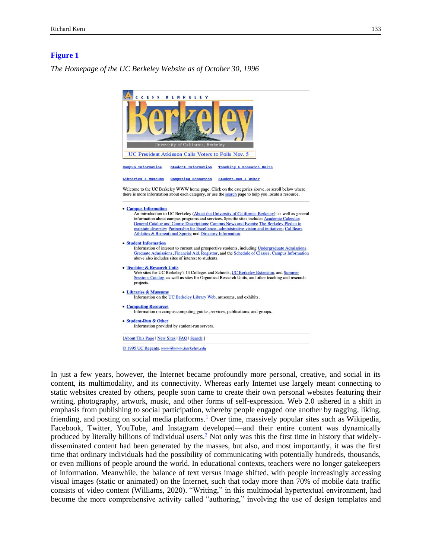#### <span id="page-1-0"></span>**[Figure 1](#page-0-0)**

*The Homepage of the UC Berkeley Website as of October 30, 1996*



<span id="page-1-2"></span><span id="page-1-1"></span>In just a few years, however, the Internet became profoundly more personal, creative, and social in its content, its multimodality, and its connectivity. Whereas early Internet use largely meant connecting to static websites created by others, people soon came to create their own personal websites featuring their writing, photography, artwork, music, and other forms of self-expression. Web 2.0 ushered in a shift in emphasis from publishing to social participation, whereby people engaged one another by tagging, liking, friending, and posting on social media platforms[.](#page-12-0)<sup>1</sup> Over time, massively popular sites such as Wikipedia, Facebook, Twitter, YouTube, and Instagram developed—and their entire content was dynamically produced by literally billions of individual users[.](#page-12-1)<sup>2</sup> Not only was this the first time in history that widelydisseminated content had been generated by the masses, but also, and most importantly, it was the first time that ordinary individuals had the possibility of communicating with potentially hundreds, thousands, or even millions of people around the world. In educational contexts, teachers were no longer gatekeepers of information. Meanwhile, the balance of text versus image shifted, with people increasingly accessing visual images (static or animated) on the Internet, such that today more than 70% of mobile data traffic consists of video content (Williams, 2020). "Writing," in this multimodal hypertextual environment, had become the more comprehensive activity called "authoring," involving the use of design templates and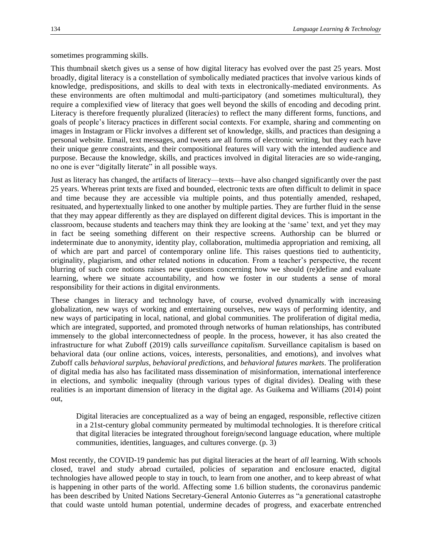sometimes programming skills.

This thumbnail sketch gives us a sense of how digital literacy has evolved over the past 25 years. Most broadly, digital literacy is a constellation of symbolically mediated practices that involve various kinds of knowledge, predispositions, and skills to deal with texts in electronically-mediated environments. As these environments are often multimodal and multi-participatory (and sometimes multicultural), they require a complexified view of literacy that goes well beyond the skills of encoding and decoding print. Literacy is therefore frequently pluralized (literac*ies*) to reflect the many different forms, functions, and goals of people's literacy practices in different social contexts. For example, sharing and commenting on images in Instagram or Flickr involves a different set of knowledge, skills, and practices than designing a personal website. Email, text messages, and tweets are all forms of electronic writing, but they each have their unique genre constraints, and their compositional features will vary with the intended audience and purpose. Because the knowledge, skills, and practices involved in digital literacies are so wide-ranging, no one is ever "digitally literate" in all possible ways.

Just as literacy has changed, the artifacts of literacy—texts—have also changed significantly over the past 25 years. Whereas print texts are fixed and bounded, electronic texts are often difficult to delimit in space and time because they are accessible via multiple points, and thus potentially amended, reshaped, resituated, and hypertextually linked to one another by multiple parties. They are further fluid in the sense that they may appear differently as they are displayed on different digital devices. This is important in the classroom, because students and teachers may think they are looking at the 'same' text, and yet they may in fact be seeing something different on their respective screens. Authorship can be blurred or indeterminate due to anonymity, identity play, collaboration, multimedia appropriation and remixing, all of which are part and parcel of contemporary online life. This raises questions tied to authenticity, originality, plagiarism, and other related notions in education. From a teacher's perspective, the recent blurring of such core notions raises new questions concerning how we should (re)define and evaluate learning, where we situate accountability, and how we foster in our students a sense of moral responsibility for their actions in digital environments.

These changes in literacy and technology have, of course, evolved dynamically with increasing globalization, new ways of working and entertaining ourselves, new ways of performing identity, and new ways of participating in local, national, and global communities. The proliferation of digital media, which are integrated, supported, and promoted through networks of human relationships, has contributed immensely to the global interconnectedness of people. In the process, however, it has also created the infrastructure for what Zuboff (2019) calls *surveillance capitalism*. Surveillance capitalism is based on behavioral data (our online actions, voices, interests, personalities, and emotions), and involves what Zuboff calls *behavioral surplus*, *behavioral predictions*, and *behavioral futures markets*. The proliferation of digital media has also has facilitated mass dissemination of misinformation, international interference in elections, and symbolic inequality (through various types of digital divides). Dealing with these realities is an important dimension of literacy in the digital age. As Guikema and Williams (2014) point out,

Digital literacies are conceptualized as a way of being an engaged, responsible, reflective citizen in a 21st-century global community permeated by multimodal technologies. It is therefore critical that digital literacies be integrated throughout foreign/second language education, where multiple communities, identities, languages, and cultures converge. (p. 3)

Most recently, the COVID-19 pandemic has put digital literacies at the heart of *all* learning. With schools closed, travel and study abroad curtailed, policies of separation and enclosure enacted, digital technologies have allowed people to stay in touch, to learn from one another, and to keep abreast of what is happening in other parts of the world. Affecting some 1.6 billion students, the coronavirus pandemic has been described by United Nations Secretary-General Antonio Guterres as "a generational catastrophe that could waste untold human potential, undermine decades of progress, and exacerbate entrenched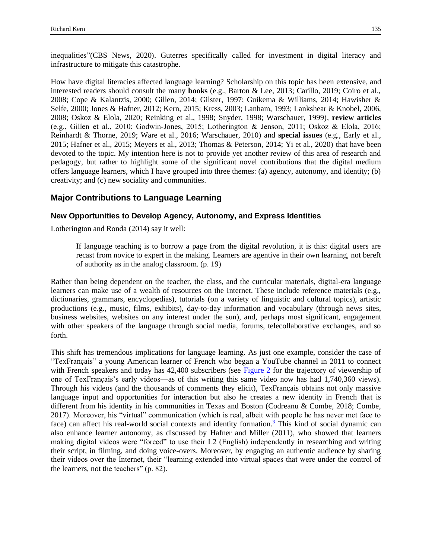inequalities"(CBS News, 2020). Guterres specifically called for investment in digital literacy and infrastructure to mitigate this catastrophe.

How have digital literacies affected language learning? Scholarship on this topic has been extensive, and interested readers should consult the many **books** (e.g., Barton & Lee, 2013; Carillo, 2019; Coiro et al., 2008; Cope & Kalantzis, 2000; Gillen, 2014; Gilster, 1997; Guikema & Williams, 2014; Hawisher & Selfe, 2000; Jones & Hafner, 2012; Kern, 2015; Kress, 2003; Lanham, 1993; Lankshear & Knobel, 2006, 2008; Oskoz & Elola, 2020; Reinking et al., 1998; Snyder, 1998; Warschauer, 1999), **review articles** (e.g., Gillen et al., 2010; Godwin‐Jones, 2015; Lotherington & Jenson, 2011; Oskoz & Elola, 2016; Reinhardt & Thorne, 2019; Ware et al., 2016; Warschauer, 2010) and **special issues** (e.g., Early et al., 2015; Hafner et al., 2015; Meyers et al., 2013; Thomas & Peterson, 2014; Yi et al., 2020) that have been devoted to the topic. My intention here is not to provide yet another review of this area of research and pedagogy, but rather to highlight some of the significant novel contributions that the digital medium offers language learners, which I have grouped into three themes: (a) agency, autonomy, and identity; (b) creativity; and (c) new sociality and communities.

## **Major Contributions to Language Learning**

## **New Opportunities to Develop Agency, Autonomy, and Express Identities**

Lotherington and Ronda (2014) say it well:

If language teaching is to borrow a page from the digital revolution, it is this: digital users are recast from novice to expert in the making. Learners are agentive in their own learning, not bereft of authority as in the analog classroom. (p. 19)

Rather than being dependent on the teacher, the class, and the curricular materials, digital-era language learners can make use of a wealth of resources on the Internet. These include reference materials (e.g., dictionaries, grammars, encyclopedias), tutorials (on a variety of linguistic and cultural topics), artistic productions (e.g., music, films, exhibits), day-to-day information and vocabulary (through news sites, business websites, websites on any interest under the sun), and, perhaps most significant, engagement with other speakers of the language through social media, forums, telecollaborative exchanges, and so forth.

<span id="page-3-1"></span><span id="page-3-0"></span>This shift has tremendous implications for language learning. As just one example, consider the case of "TexFrançais" a young American learner of French who began a YouTube channel in 2011 to connect with French speakers and today has 42,400 subscribers (see [Figure 2](#page-4-0) for the trajectory of viewership of one of TexFrançais's early videos—as of this writing this same video now has had 1,740,360 views). Through his videos (and the thousands of comments they elicit), TexFrançais obtains not only massive language input and opportunities for interaction but also he creates a new identity in French that is different from his identity in his communities in Texas and Boston (Codreanu & Combe, 2018; Combe, 2017). Moreover, his "virtual" communication (which is real, albeit with people he has never met face to face) can affect his real-world social contexts and identity formation[.](#page-12-2)<sup>3</sup> This kind of social dynamic can also enhance learner autonomy, as discussed by Hafner and Miller (2011), who showed that learners making digital videos were "forced" to use their L2 (English) independently in researching and writing their script, in filming, and doing voice-overs. Moreover, by engaging an authentic audience by sharing their videos over the Internet, their "learning extended into virtual spaces that were under the control of the learners, not the teachers" (p. 82).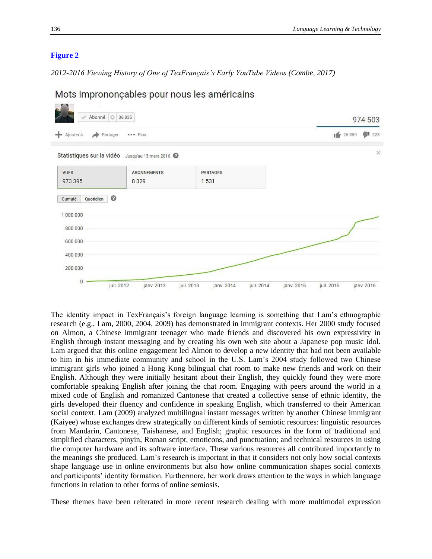#### <span id="page-4-0"></span>**[Figure 2](#page-3-0)**

*2012-2016 Viewing History of One of TexFrançais's Early YouTube Videos (Combe, 2017)*

| ← Abonné   (3 36 835      |                                                   |                          |                          | 974 503    |            |
|---------------------------|---------------------------------------------------|--------------------------|--------------------------|------------|------------|
| $+$ Ajouter à<br>Partager | <b>*** Plus</b>                                   |                          |                          | 162 26 350 | 91223      |
|                           | Statistiques sur la vidéo Jusqu'au 13 mars 2016 @ |                          |                          |            | $\times$   |
| <b>VUES</b><br>973 395    | ABONNEMENTS<br>8329                               | PARTAGES<br>1531         |                          |            |            |
| ◎<br>Quotidien<br>Cumulé  |                                                   |                          |                          |            |            |
| 1000000<br>800 000        |                                                   |                          |                          |            |            |
| 600 000                   |                                                   |                          |                          |            |            |
| 400 000<br>200 000        |                                                   |                          |                          |            |            |
| $\theta$                  | juil. 2012<br>janv. 2013                          | juil. 2013<br>janv. 2014 | juil. 2014<br>janv. 2015 | juil. 2015 | janv. 2016 |

Mots imprononçables pour nous les américains

The identity impact in TexFrançais's foreign language learning is something that Lam's ethnographic research (e.g., Lam, 2000, 2004, 2009) has demonstrated in immigrant contexts. Her 2000 study focused on Almon, a Chinese immigrant teenager who made friends and discovered his own expressivity in English through instant messaging and by creating his own web site about a Japanese pop music idol. Lam argued that this online engagement led Almon to develop a new identity that had not been available to him in his immediate community and school in the U.S. Lam's 2004 study followed two Chinese immigrant girls who joined a Hong Kong bilingual chat room to make new friends and work on their English. Although they were initially hesitant about their English, they quickly found they were more comfortable speaking English after joining the chat room. Engaging with peers around the world in a mixed code of English and romanized Cantonese that created a collective sense of ethnic identity, the girls developed their fluency and confidence in speaking English, which transferred to their American social context. Lam (2009) analyzed multilingual instant messages written by another Chinese immigrant (Kaiyee) whose exchanges drew strategically on different kinds of semiotic resources: linguistic resources from Mandarin, Cantonese, Taishanese, and English; graphic resources in the form of traditional and simplified characters, pinyin, Roman script, emoticons, and punctuation; and technical resources in using the computer hardware and its software interface. These various resources all contributed importantly to the meanings she produced. Lam's research is important in that it considers not only how social contexts shape language use in online environments but also how online communication shapes social contexts and participants' identity formation. Furthermore, her work draws attention to the ways in which language functions in relation to other forms of online semiosis.

These themes have been reiterated in more recent research dealing with more multimodal expression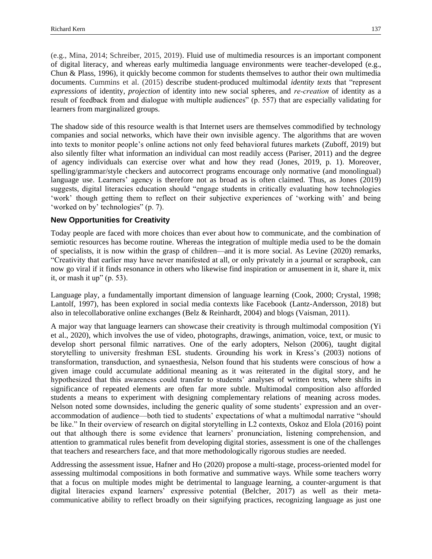(e.g., Mina, 2014; Schreiber, 2015, 2019). Fluid use of multimedia resources is an important component of digital literacy, and whereas early multimedia language environments were teacher-developed (e.g., Chun & Plass, 1996), it quickly become common for students themselves to author their own multimedia documents. Cummins et al. (2015) describe student-produced multimodal *identity texts* that "represent *expressions* of identity, *projection* of identity into new social spheres, and *re‐creation* of identity as a result of feedback from and dialogue with multiple audiences" (p. 557) that are especially validating for learners from marginalized groups.

The shadow side of this resource wealth is that Internet users are themselves commodified by technology companies and social networks, which have their own invisible agency. The algorithms that are woven into texts to monitor people's online actions not only feed behavioral futures markets (Zuboff, 2019) but also silently filter what information an individual can most readily access (Pariser, 2011) and the degree of agency individuals can exercise over what and how they read (Jones, 2019, p. 1). Moreover, spelling/grammar/style checkers and autocorrect programs encourage only normative (and monolingual) language use. Learners' agency is therefore not as broad as is often claimed. Thus, as Jones (2019) suggests, digital literacies education should "engage students in critically evaluating how technologies 'work' though getting them to reflect on their subjective experiences of 'working with' and being 'worked on by' technologies" (p. 7).

#### **New Opportunities for Creativity**

Today people are faced with more choices than ever about how to communicate, and the combination of semiotic resources has become routine. Whereas the integration of multiple media used to be the domain of specialists, it is now within the grasp of children—and it is more social. As Levine (2020) remarks, "Creativity that earlier may have never manifested at all, or only privately in a journal or scrapbook, can now go viral if it finds resonance in others who likewise find inspiration or amusement in it, share it, mix it, or mash it up" (p. 53).

Language play, a fundamentally important dimension of language learning (Cook, 2000; Crystal, 1998; Lantolf, 1997), has been explored in social media contexts like Facebook (Lantz-Andersson, 2018) but also in telecollaborative online exchanges (Belz & Reinhardt, 2004) and blogs (Vaisman, 2011).

A major way that language learners can showcase their creativity is through multimodal composition (Yi et al., 2020), which involves the use of video, photographs, drawings, animation, voice, text, or music to develop short personal filmic narratives. One of the early adopters, Nelson (2006), taught digital storytelling to university freshman ESL students. Grounding his work in Kress's (2003) notions of transformation, transduction, and synaesthesia, Nelson found that his students were conscious of how a given image could accumulate additional meaning as it was reiterated in the digital story, and he hypothesized that this awareness could transfer to students' analyses of written texts, where shifts in significance of repeated elements are often far more subtle. Multimodal composition also afforded students a means to experiment with designing complementary relations of meaning across modes. Nelson noted some downsides, including the generic quality of some students' expression and an overaccommodation of audience—both tied to students' expectations of what a multimodal narrative "should be like." In their overview of research on digital storytelling in L2 contexts, Oskoz and Elola (2016) point out that although there is some evidence that learners' pronunciation, listening comprehension, and attention to grammatical rules benefit from developing digital stories, assessment is one of the challenges that teachers and researchers face, and that more methodologically rigorous studies are needed.

Addressing the assessment issue, Hafner and Ho (2020) propose a multi-stage, process-oriented model for assessing multimodal compositions in both formative and summative ways. While some teachers worry that a focus on multiple modes might be detrimental to language learning, a counter-argument is that digital literacies expand learners' expressive potential (Belcher, 2017) as well as their metacommunicative ability to reflect broadly on their signifying practices, recognizing language as just one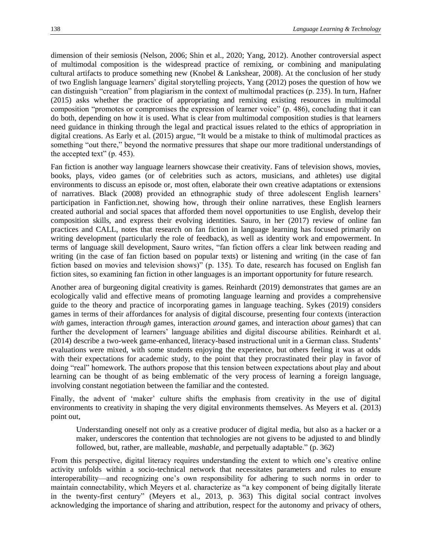dimension of their semiosis (Nelson, 2006; Shin et al., 2020; Yang, 2012). Another controversial aspect of multimodal composition is the widespread practice of remixing, or combining and manipulating cultural artifacts to produce something new (Knobel & Lankshear, 2008). At the conclusion of her study of two English language learners' digital storytelling projects, Yang (2012) poses the question of how we can distinguish "creation" from plagiarism in the context of multimodal practices (p. 235). In turn, Hafner (2015) asks whether the practice of appropriating and remixing existing resources in multimodal composition "promotes or compromises the expression of learner voice" (p. 486), concluding that it can do both, depending on how it is used. What is clear from multimodal composition studies is that learners need guidance in thinking through the legal and practical issues related to the ethics of appropriation in digital creations. As Early et al. (2015) argue, "It would be a mistake to think of multimodal practices as something "out there," beyond the normative pressures that shape our more traditional understandings of the accepted text" (p. 453).

Fan fiction is another way language learners showcase their creativity. Fans of television shows, movies, books, plays, video games (or of celebrities such as actors, musicians, and athletes) use digital environments to discuss an episode or, most often, elaborate their own creative adaptations or extensions of narratives. Black (2008) provided an ethnographic study of three adolescent English learners' participation in Fanfiction.net, showing how, through their online narratives, these English learners created authorial and social spaces that afforded them novel opportunities to use English, develop their composition skills, and express their evolving identities. Sauro, in her (2017) review of online fan practices and CALL, notes that research on fan fiction in language learning has focused primarily on writing development (particularly the role of feedback), as well as identity work and empowerment. In terms of language skill development, Sauro writes, "fan fiction offers a clear link between reading and writing (in the case of fan fiction based on popular texts) or listening and writing (in the case of fan fiction based on movies and television shows)" (p. 135). To date, research has focused on English fan fiction sites, so examining fan fiction in other languages is an important opportunity for future research.

Another area of burgeoning digital creativity is games. Reinhardt (2019) demonstrates that games are an ecologically valid and effective means of promoting language learning and provides a comprehensive guide to the theory and practice of incorporating games in language teaching. Sykes (2019) considers games in terms of their affordances for analysis of digital discourse, presenting four contexts (interaction *with* games, interaction *through* games, interaction *around* games, and interaction *about* games) that can further the development of learners' language abilities and digital discourse abilities. Reinhardt et al. (2014) describe a two-week game-enhanced, literacy-based instructional unit in a German class. Students' evaluations were mixed, with some students enjoying the experience, but others feeling it was at odds with their expectations for academic study, to the point that they procrastinated their play in favor of doing "real" homework. The authors propose that this tension between expectations about play and about learning can be thought of as being emblematic of the very process of learning a foreign language, involving constant negotiation between the familiar and the contested.

Finally, the advent of 'maker' culture shifts the emphasis from creativity in the use of digital environments to creativity in shaping the very digital environments themselves. As Meyers et al. (2013) point out,

Understanding oneself not only as a creative producer of digital media, but also as a hacker or a maker, underscores the contention that technologies are not givens to be adjusted to and blindly followed, but, rather, are malleable, *mashable,* and perpetually adaptable." (p. 362)

From this perspective, digital literacy requires understanding the extent to which one's creative online activity unfolds within a socio-technical network that necessitates parameters and rules to ensure interoperability—and recognizing one's own responsibility for adhering to such norms in order to maintain connectability, which Meyers et al. characterize as "a key component of being digitally literate in the twenty-first century" (Meyers et al., 2013, p. 363) This digital social contract involves acknowledging the importance of sharing and attribution, respect for the autonomy and privacy of others,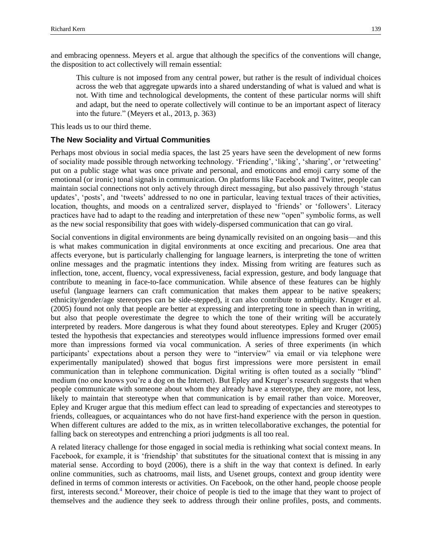and embracing openness. Meyers et al. argue that although the specifics of the conventions will change, the disposition to act collectively will remain essential:

This culture is not imposed from any central power, but rather is the result of individual choices across the web that aggregate upwards into a shared understanding of what is valued and what is not. With time and technological developments, the content of these particular norms will shift and adapt, but the need to operate collectively will continue to be an important aspect of literacy into the future." (Meyers et al., 2013, p. 363)

This leads us to our third theme.

#### **The New Sociality and Virtual Communities**

Perhaps most obvious in social media spaces, the last 25 years have seen the development of new forms of sociality made possible through networking technology. 'Friending', 'liking', 'sharing', or 'retweeting' put on a public stage what was once private and personal, and emoticons and emoji carry some of the emotional (or ironic) tonal signals in communication. On platforms like Facebook and Twitter, people can maintain social connections not only actively through direct messaging, but also passively through 'status updates', 'posts', and 'tweets' addressed to no one in particular, leaving textual traces of their activities, location, thoughts, and moods on a centralized server, displayed to 'friends' or 'followers'. Literacy practices have had to adapt to the reading and interpretation of these new "open" symbolic forms, as well as the new social responsibility that goes with widely-dispersed communication that can go viral.

Social conventions in digital environments are being dynamically revisited on an ongoing basis—and this is what makes communication in digital environments at once exciting and precarious. One area that affects everyone, but is particularly challenging for language learners, is interpreting the tone of written online messages and the pragmatic intentions they index. Missing from writing are features such as inflection, tone, accent, fluency, vocal expressiveness, facial expression, gesture, and body language that contribute to meaning in face-to-face communication. While absence of these features can be highly useful (language learners can craft communication that makes them appear to be native speakers; ethnicity/gender/age stereotypes can be side-stepped), it can also contribute to ambiguity. Kruger et al. (2005) found not only that people are better at expressing and interpreting tone in speech than in writing, but also that people overestimate the degree to which the tone of their writing will be accurately interpreted by readers. More dangerous is what they found about stereotypes. Epley and Kruger (2005) tested the hypothesis that expectancies and stereotypes would influence impressions formed over email more than impressions formed via vocal communication. A series of three experiments (in which participants' expectations about a person they were to "interview" via email or via telephone were experimentally manipulated) showed that bogus first impressions were more persistent in email communication than in telephone communication. Digital writing is often touted as a socially "blind" medium (no one knows you're a dog on the Internet). But Epley and Kruger's research suggests that when people communicate with someone about whom they already have a stereotype, they are more, not less, likely to maintain that stereotype when that communication is by email rather than voice. Moreover, Epley and Kruger argue that this medium effect can lead to spreading of expectancies and stereotypes to friends, colleagues, or acquaintances who do not have first-hand experience with the person in question. When different cultures are added to the mix, as in written telecollaborative exchanges, the potential for falling back on stereotypes and entrenching a priori judgments is all too real.

<span id="page-7-0"></span>A related literacy challenge for those engaged in social media is rethinking what social context means. In Facebook, for example, it is 'friendship' that substitutes for the situational context that is missing in any material sense. According to boyd (2006), there is a shift in the way that context is defined. In early online communities, such as chatrooms, mail lists, and Usenet groups, context and group identity were defined in terms of common interests or activities. On Facebook, on the other hand, people choose people first, interests second[.](#page-12-3)<sup>4</sup> Moreover, their choice of people is tied to the image that they want to project of themselves and the audience they seek to address through their online profiles, posts, and comments.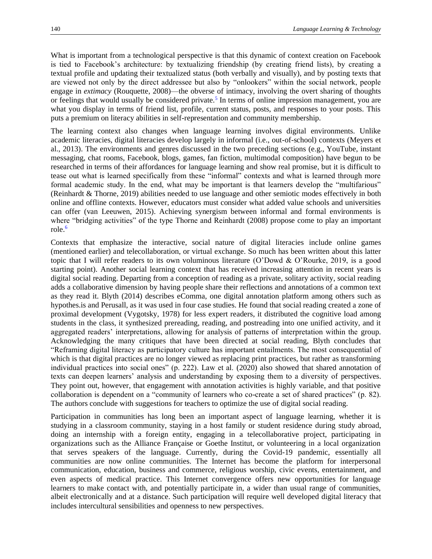What is important from a technological perspective is that this dynamic of context creation on Facebook is tied to Facebook's architecture: by textualizing friendship (by creating friend lists), by creating a textual profile and updating their textualized status (both verbally and visually), and by posting texts that are viewed not only by the direct addressee but also by "onlookers" within the social network, people engage in *extimacy* (Rouquette, 2008)—the obverse of intimacy, involving the overt sharing of thoughts or feelings that would usually be considered private[.](#page-12-4)<sup>5</sup> In terms of online impression management, you are what you display in terms of friend list, profile, current status, posts, and responses to your posts. This puts a premium on literacy abilities in self-representation and community membership.

<span id="page-8-0"></span>The learning context also changes when language learning involves digital environments. Unlike academic literacies, digital literacies develop largely in informal (i.e., out-of-school) contexts (Meyers et al., 2013). The environments and genres discussed in the two preceding sections (e.g., YouTube, instant messaging, chat rooms, Facebook, blogs, games, fan fiction, multimodal composition) have begun to be researched in terms of their affordances for language learning and show real promise, but it is difficult to tease out what is learned specifically from these "informal" contexts and what is learned through more formal academic study. In the end, what may be important is that learners develop the "multifarious" (Reinhardt & Thorne, 2019) abilities needed to use language and other semiotic modes effectively in both online and offline contexts. However, educators must consider what added value schools and universities can offer (van Leeuwen, 2015). Achieving synergism between informal and formal environments is where "bridging activities" of the type Thorne and Reinhardt (2008) propose come to play an important role.[6](#page-12-5)

<span id="page-8-1"></span>Contexts that emphasize the interactive, social nature of digital literacies include online games (mentioned earlier) and telecollaboration, or virtual exchange. So much has been written about this latter topic that I will refer readers to its own voluminous literature (O'Dowd & O'Rourke, 2019, is a good starting point). Another social learning context that has received increasing attention in recent years is digital social reading. Departing from a conception of reading as a private, solitary activity, social reading adds a collaborative dimension by having people share their reflections and annotations of a common text as they read it. Blyth (2014) describes eComma, one digital annotation platform among others such as hypothes.is and Perusall, as it was used in four case studies. He found that social reading created a zone of proximal development (Vygotsky, 1978) for less expert readers, it distributed the cognitive load among students in the class, it synthesized prereading, reading, and postreading into one unified activity, and it aggregated readers' interpretations, allowing for analysis of patterns of interpretation within the group. Acknowledging the many critiques that have been directed at social reading, Blyth concludes that "Reframing digital literacy as participatory culture has important entailments. The most consequential of which is that digital practices are no longer viewed as replacing print practices, but rather as transforming individual practices into social ones" (p. 222). Law et al. (2020) also showed that shared annotation of texts can deepen learners' analysis and understanding by exposing them to a diversity of perspectives. They point out, however, that engagement with annotation activities is highly variable, and that positive collaboration is dependent on a "community of learners who co-create a set of shared practices" (p. 82). The authors conclude with suggestions for teachers to optimize the use of digital social reading.

Participation in communities has long been an important aspect of language learning, whether it is studying in a classroom community, staying in a host family or student residence during study abroad, doing an internship with a foreign entity, engaging in a telecollaborative project, participating in organizations such as the Alliance Française or Goethe Institut, or volunteering in a local organization that serves speakers of the language. Currently, during the Covid-19 pandemic, essentially all communities are now online communities. The Internet has become the platform for interpersonal communication, education, business and commerce, religious worship, civic events, entertainment, and even aspects of medical practice. This Internet convergence offers new opportunities for language learners to make contact with, and potentially participate in, a wider than usual range of communities, albeit electronically and at a distance. Such participation will require well developed digital literacy that includes intercultural sensibilities and openness to new perspectives.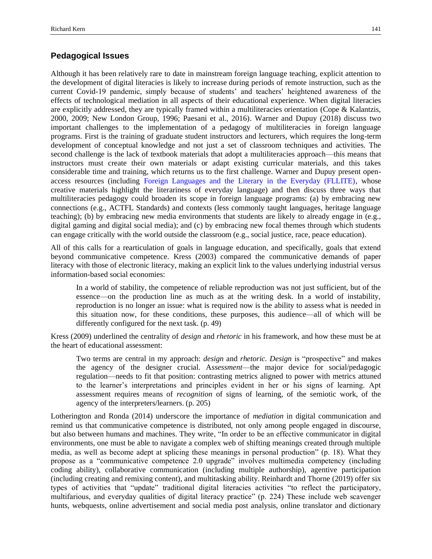## **Pedagogical Issues**

Although it has been relatively rare to date in mainstream foreign language teaching, explicit attention to the development of digital literacies is likely to increase during periods of remote instruction, such as the current Covid-19 pandemic, simply because of students' and teachers' heightened awareness of the effects of technological mediation in all aspects of their educational experience. When digital literacies are explicitly addressed, they are typically framed within a multiliteracies orientation (Cope & Kalantzis, 2000, 2009; New London Group, 1996; Paesani et al., 2016). Warner and Dupuy (2018) discuss two important challenges to the implementation of a pedagogy of multiliteracies in foreign language programs. First is the training of graduate student instructors and lecturers, which requires the long-term development of conceptual knowledge and not just a set of classroom techniques and activities. The second challenge is the lack of textbook materials that adopt a multiliteracies approach—this means that instructors must create their own materials or adapt existing curricular materials, and this takes considerable time and training, which returns us to the first challenge. Warner and Dupuy present openaccess resources (including [Foreign Languages and the Literary in the Everyday \(FLLITE\),](https://fllite.org/) whose creative materials highlight the literariness of everyday language) and then discuss three ways that multiliteracies pedagogy could broaden its scope in foreign language programs: (a) by embracing new connections (e.g., ACTFL Standards) and contexts (less commonly taught languages, heritage language teaching); (b) by embracing new media environments that students are likely to already engage in (e.g., digital gaming and digital social media); and (c) by embracing new focal themes through which students can engage critically with the world outside the classroom (e.g., social justice, race, peace education).

All of this calls for a rearticulation of goals in language education, and specifically, goals that extend beyond communicative competence. Kress (2003) compared the communicative demands of paper literacy with those of electronic literacy, making an explicit link to the values underlying industrial versus information-based social economies:

In a world of stability, the competence of reliable reproduction was not just sufficient, but of the essence—on the production line as much as at the writing desk. In a world of instability, reproduction is no longer an issue: what is required now is the ability to assess what is needed in this situation now, for these conditions, these purposes, this audience—all of which will be differently configured for the next task. (p. 49)

Kress (2009) underlined the centrality of *design* and *rhetoric* in his framework, and how these must be at the heart of educational assessment:

Two terms are central in my approach: *design* and *rhetoric. Design* is "prospective" and makes the agency of the designer crucial. A*ssessment*—the major device for social/pedagogic regulation—needs to fit that position: contrasting metrics aligned to power with metrics attuned to the learner's interpretations and principles evident in her or his signs of learning. Apt assessment requires means of *recognition* of signs of learning, of the semiotic work, of the agency of the interpreters/learners. (p. 205)

Lotherington and Ronda (2014) underscore the importance of *mediation* in digital communication and remind us that communicative competence is distributed, not only among people engaged in discourse, but also between humans and machines. They write, "In order to be an effective communicator in digital environments, one must be able to navigate a complex web of shifting meanings created through multiple media, as well as become adept at splicing these meanings in personal production" (p. 18). What they propose as a "communicative competence 2.0 upgrade" involves multimedia competency (including coding ability), collaborative communication (including multiple authorship), agentive participation (including creating and remixing content), and multitasking ability. Reinhardt and Thorne (2019) offer six types of activities that "update" traditional digital literacies activities "to reflect the participatory, multifarious, and everyday qualities of digital literacy practice" (p. 224) These include web scavenger hunts, webquests, online advertisement and social media post analysis, online translator and dictionary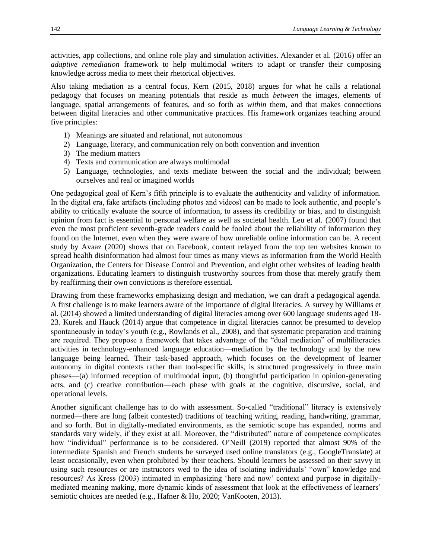activities, app collections, and online role play and simulation activities. Alexander et al. (2016) offer an *adaptive remediation* framework to help multimodal writers to adapt or transfer their composing knowledge across media to meet their rhetorical objectives.

Also taking mediation as a central focus, Kern (2015, 2018) argues for what he calls a relational pedagogy that focuses on meaning potentials that reside as much *between* the images, elements of language, spatial arrangements of features, and so forth as *within* them, and that makes connections between digital literacies and other communicative practices. His framework organizes teaching around five principles:

- 1) Meanings are situated and relational, not autonomous
- 2) Language, literacy, and communication rely on both convention and invention
- 3) The medium matters
- 4) Texts and communication are always multimodal
- 5) Language, technologies, and texts mediate between the social and the individual; between ourselves and real or imagined worlds

One pedagogical goal of Kern's fifth principle is to evaluate the authenticity and validity of information. In the digital era, fake artifacts (including photos and videos) can be made to look authentic, and people's ability to critically evaluate the source of information, to assess its credibility or bias, and to distinguish opinion from fact is essential to personal welfare as well as societal health. Leu et al. (2007) found that even the most proficient seventh-grade readers could be fooled about the reliability of information they found on the Internet, even when they were aware of how unreliable online information can be. A recent study by Avaaz (2020) shows that on Facebook, content relayed from the top ten websites known to spread health disinformation had almost four times as many views as information from the World Health Organization, the Centers for Disease Control and Prevention, and eight other websites of leading health organizations. Educating learners to distinguish trustworthy sources from those that merely gratify them by reaffirming their own convictions is therefore essential.

Drawing from these frameworks emphasizing design and mediation, we can draft a pedagogical agenda. A first challenge is to make learners aware of the importance of digital literacies. A survey by Williams et al. (2014) showed a limited understanding of digital literacies among over 600 language students aged 18- 23. Kurek and Hauck (2014) argue that competence in digital literacies cannot be presumed to develop spontaneously in today's youth (e.g., Rowlands et al., 2008), and that systematic preparation and training are required. They propose a framework that takes advantage of the "dual mediation" of multiliteracies activities in technology-enhanced language education—mediation by the technology and by the new language being learned. Their task-based approach, which focuses on the development of learner autonomy in digital contexts rather than tool-specific skills, is structured progressively in three main phases—(a) informed reception of multimodal input, (b) thoughtful participation in opinion-generating acts, and (c) creative contribution—each phase with goals at the cognitive, discursive, social, and operational levels.

Another significant challenge has to do with assessment. So-called "traditional" literacy is extensively normed—there are long (albeit contested) traditions of teaching writing, reading, handwriting, grammar, and so forth. But in digitally-mediated environments, as the semiotic scope has expanded, norms and standards vary widely, if they exist at all. Moreover, the "distributed" nature of competence complicates how "individual" performance is to be considered. O'Neill (2019) reported that almost 90% of the intermediate Spanish and French students he surveyed used online translators (e.g., GoogleTranslate) at least occasionally, even when prohibited by their teachers. Should learners be assessed on their savvy in using such resources or are instructors wed to the idea of isolating individuals' "own" knowledge and resources? As Kress (2003) intimated in emphasizing 'here and now' context and purpose in digitallymediated meaning making, more dynamic kinds of assessment that look at the effectiveness of learners' semiotic choices are needed (e.g., Hafner & Ho, 2020; VanKooten, 2013).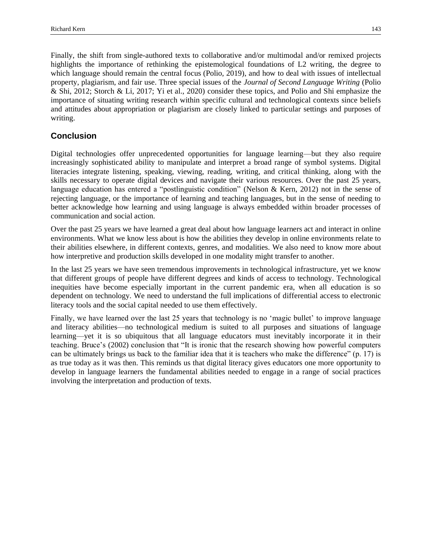Finally, the shift from single-authored texts to collaborative and/or multimodal and/or remixed projects highlights the importance of rethinking the epistemological foundations of L2 writing, the degree to which language should remain the central focus (Polio, 2019), and how to deal with issues of intellectual property, plagiarism, and fair use. Three special issues of the *Journal of Second Language Writing* (Polio & Shi, 2012; Storch & Li, 2017; Yi et al., 2020) consider these topics, and Polio and Shi emphasize the importance of situating writing research within specific cultural and technological contexts since beliefs and attitudes about appropriation or plagiarism are closely linked to particular settings and purposes of writing.

## **Conclusion**

Digital technologies offer unprecedented opportunities for language learning—but they also require increasingly sophisticated ability to manipulate and interpret a broad range of symbol systems. Digital literacies integrate listening, speaking, viewing, reading, writing, and critical thinking, along with the skills necessary to operate digital devices and navigate their various resources. Over the past 25 years, language education has entered a "postlinguistic condition" (Nelson & Kern, 2012) not in the sense of rejecting language, or the importance of learning and teaching languages, but in the sense of needing to better acknowledge how learning and using language is always embedded within broader processes of communication and social action.

Over the past 25 years we have learned a great deal about how language learners act and interact in online environments. What we know less about is how the abilities they develop in online environments relate to their abilities elsewhere, in different contexts, genres, and modalities. We also need to know more about how interpretive and production skills developed in one modality might transfer to another.

In the last 25 years we have seen tremendous improvements in technological infrastructure, yet we know that different groups of people have different degrees and kinds of access to technology. Technological inequities have become especially important in the current pandemic era, when all education is so dependent on technology. We need to understand the full implications of differential access to electronic literacy tools and the social capital needed to use them effectively.

Finally, we have learned over the last 25 years that technology is no 'magic bullet' to improve language and literacy abilities—no technological medium is suited to all purposes and situations of language learning—yet it is so ubiquitous that all language educators must inevitably incorporate it in their teaching. Bruce's (2002) conclusion that "It is ironic that the research showing how powerful computers can be ultimately brings us back to the familiar idea that it is teachers who make the difference" (p. 17) is as true today as it was then. This reminds us that digital literacy gives educators one more opportunity to develop in language learners the fundamental abilities needed to engage in a range of social practices involving the interpretation and production of texts.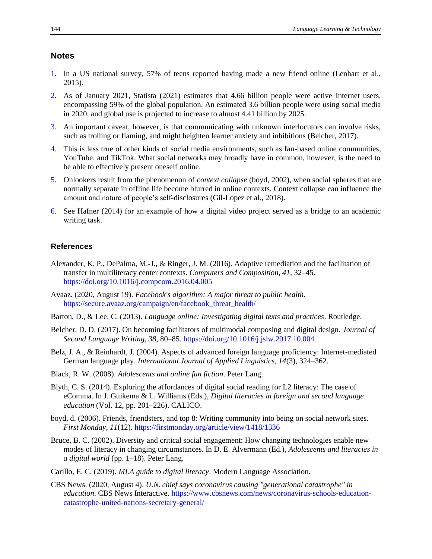## **Notes**

- <span id="page-12-0"></span>[1.](#page-1-1) In a US national survey, 57% of teens reported having made a new friend online (Lenhart et al., 2015).
- <span id="page-12-1"></span>[2.](#page-1-2) As of January 2021, Statista (2021) estimates that 4.66 billion people were active Internet users, encompassing 59% of the global population. An estimated 3.6 billion people were using social media in 2020, and global use is projected to increase to almost 4.41 billion by 2025.
- <span id="page-12-2"></span>[3.](#page-3-1) An important caveat, however, is that communicating with unknown interlocutors can involve risks, such as trolling or flaming, and might heighten learner anxiety and inhibitions (Belcher, 2017).
- <span id="page-12-3"></span>[4.](#page-7-0) This is less true of other kinds of social media environments, such as fan-based online communities, YouTube, and TikTok. What social networks may broadly have in common, however, is the need to be able to effectively present oneself online.
- <span id="page-12-4"></span>[5.](#page-8-0) Onlookers result from the phenomenon of *context collapse* (boyd, 2002), when social spheres that are normally separate in offline life become blurred in online contexts. Context collapse can influence the amount and nature of people's self-disclosures (Gil-Lopez et al., 2018).
- <span id="page-12-5"></span>[6.](#page-8-1) See Hafner (2014) for an example of how a digital video project served as a bridge to an academic writing task.

#### **References**

- Alexander, K. P., DePalma, M.-J., & Ringer, J. M. (2016). Adaptive remediation and the facilitation of transfer in multiliteracy center contexts. *Computers and Composition, 41*, 32–45. <https://doi.org/10.1016/j.compcom.2016.04.005>
- Avaaz. (2020, August 19). *Facebook's algorithm: A major threat to public health*. [https://secure.avaaz.org/campaign/en/facebook\\_threat\\_health/](https://secure.avaaz.org/campaign/en/facebook_threat_health/)
- Barton, D., & Lee, C. (2013). *Language online: Investigating digital texts and practices*. Routledge.
- Belcher, D. D. (2017). On becoming facilitators of multimodal composing and digital design. *Journal of Second Language Writing, 38*, 80–85.<https://doi.org/10.1016/j.jslw.2017.10.004>
- Belz, J. A., & Reinhardt, J. (2004). Aspects of advanced foreign language proficiency: Internet-mediated German language play. *International Journal of Applied Linguistics, 14*(3), 324–362.
- Black, R. W. (2008). *Adolescents and online fan fiction*. Peter Lang.
- Blyth, C. S. (2014). Exploring the affordances of digital social reading for L2 literacy: The case of eComma. In J. Guikema & L. Williams (Eds.), *Digital literacies in foreign and second language education* (Vol. 12, pp. 201–226). CALICO.
- boyd, d. (2006). Friends, friendsters, and top 8: Writing community into being on social network sites. *First Monday, 11*(12)[. https://firstmonday.org/article/view/1418/1336](https://firstmonday.org/article/view/1418/1336)
- Bruce, B. C. (2002). Diversity and critical social engagement: How changing technologies enable new modes of literacy in changing circumstances. In D. E. Alvermann (Ed.), *Adolescents and literacies in a digital world* (pp. 1–18). Peter Lang.
- Carillo, E. C. (2019). *MLA guide to digital literacy*. Modern Language Association.
- CBS News. (2020, August 4). *U.N. chief says coronavirus causing "generational catastrophe" in education*. CBS News Interactive[. https://www.cbsnews.com/news/coronavirus-schools-education](https://www.cbsnews.com/news/coronavirus-schools-education-catastrophe-united-nations-secretary-general/)[catastrophe-united-nations-secretary-general/](https://www.cbsnews.com/news/coronavirus-schools-education-catastrophe-united-nations-secretary-general/)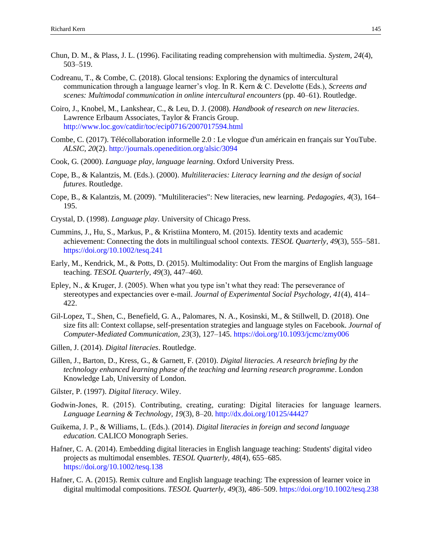- Chun, D. M., & Plass, J. L. (1996). Facilitating reading comprehension with multimedia. *System, 24*(4), 503–519.
- Codreanu, T., & Combe, C. (2018). Glocal tensions: Exploring the dynamics of intercultural communication through a language learner's vlog. In R. Kern & C. Develotte (Eds.), *Screens and scenes: Multimodal communication in online intercultural encounters* (pp. 40–61). Routledge.
- Coiro, J., Knobel, M., Lankshear, C., & Leu, D. J. (2008). *Handbook of research on new literacies*. Lawrence Erlbaum Associates, Taylor & Francis Group. <http://www.loc.gov/catdir/toc/ecip0716/2007017594.html>
- Combe, C. (2017). Télécollaboration informelle 2.0 : Le vlogue d'un américain en français sur YouTube. *ALSIC, 20*(2).<http://journals.openedition.org/alsic/3094>
- Cook, G. (2000). *Language play, language learning*. Oxford University Press.
- Cope, B., & Kalantzis, M. (Eds.). (2000). *Multiliteracies: Literacy learning and the design of social futures*. Routledge.
- Cope, B., & Kalantzis, M. (2009). "Multiliteracies": New literacies, new learning. *Pedagogies, 4*(3), 164– 195.
- Crystal, D. (1998). *Language play*. University of Chicago Press.
- Cummins, J., Hu, S., Markus, P., & Kristiina Montero, M. (2015). Identity texts and academic achievement: Connecting the dots in multilingual school contexts. *TESOL Quarterly, 49*(3), 555–581. <https://doi.org/10.1002/tesq.241>
- Early, M., Kendrick, M., & Potts, D. (2015). Multimodality: Out From the margins of English language teaching. *TESOL Quarterly, 49*(3), 447–460.
- Epley, N., & Kruger, J. (2005). When what you type isn't what they read: The perseverance of stereotypes and expectancies over e-mail. *Journal of Experimental Social Psychology, 41*(4), 414– 422.
- Gil-Lopez, T., Shen, C., Benefield, G. A., Palomares, N. A., Kosinski, M., & Stillwell, D. (2018). One size fits all: Context collapse, self-presentation strategies and language styles on Facebook. *Journal of Computer-Mediated Communication, 23*(3), 127–145.<https://doi.org/10.1093/jcmc/zmy006>
- Gillen, J. (2014). *Digital literacies*. Routledge.
- Gillen, J., Barton, D., Kress, G., & Garnett, F. (2010). *Digital literacies. A research briefing by the technology enhanced learning phase of the teaching and learning research programme*. London Knowledge Lab, University of London.
- Gilster, P. (1997). *Digital literacy*. Wiley.
- Godwin‐Jones, R. (2015). Contributing, creating, curating: Digital literacies for language learners. *Language Learning & Technology, 19*(3), 8–20. <http://dx.doi.org/10125/44427>
- Guikema, J. P., & Williams, L. (Eds.). (2014). *Digital literacies in foreign and second language education*. CALICO Monograph Series.
- Hafner, C. A. (2014). Embedding digital literacies in English language teaching: Students' digital video projects as multimodal ensembles. *TESOL Quarterly, 48*(4), 655–685. <https://doi.org/10.1002/tesq.138>
- Hafner, C. A. (2015). Remix culture and English language teaching: The expression of learner voice in digital multimodal compositions. *TESOL Quarterly, 49*(3), 486–509.<https://doi.org/10.1002/tesq.238>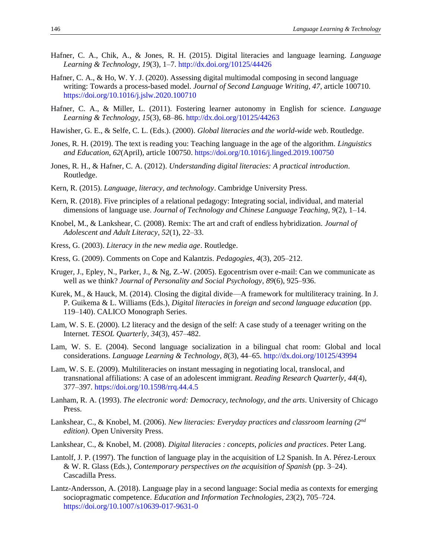- Hafner, C. A., Chik, A., & Jones, R. H. (2015). Digital literacies and language learning. *Language Learning & Technology, 19*(3), 1–7. <http://dx.doi.org/10125/44426>
- Hafner, C. A., & Ho, W. Y. J. (2020). Assessing digital multimodal composing in second language writing: Towards a process-based model. *Journal of Second Language Writing, 47*, article 100710. <https://doi.org/10.1016/j.jslw.2020.100710>
- Hafner, C. A., & Miller, L. (2011). Fostering learner autonomy in English for science. *Language Learning & Technology, 15*(3), 68–86. <http://dx.doi.org/10125/44263>
- Hawisher, G. E., & Selfe, C. L. (Eds.). (2000). *Global literacies and the world-wide web*. Routledge.
- Jones, R. H. (2019). The text is reading you: Teaching language in the age of the algorithm. *Linguistics and Education, 62*(April), article 100750. <https://doi.org/10.1016/j.linged.2019.100750>
- Jones, R. H., & Hafner, C. A. (2012). *Understanding digital literacies: A practical introduction*. Routledge.
- Kern, R. (2015). *Language, literacy, and technology*. Cambridge University Press.
- Kern, R. (2018). Five principles of a relational pedagogy: Integrating social, individual, and material dimensions of language use. *Journal of Technology and Chinese Language Teaching, 9*(2), 1–14.
- Knobel, M., & Lankshear, C. (2008). Remix: The art and craft of endless hybridization. *Journal of Adolescent and Adult Literacy, 52*(1), 22–33.
- Kress, G. (2003). *Literacy in the new media age*. Routledge.
- Kress, G. (2009). Comments on Cope and Kalantzis. *Pedagogies, 4*(3), 205–212.
- Kruger, J., Epley, N., Parker, J., & Ng, Z.-W. (2005). Egocentrism over e-mail: Can we communicate as well as we think? *Journal of Personality and Social Psychology, 89*(6), 925–936.
- Kurek, M., & Hauck, M. (2014). Closing the digital divide—A framework for multiliteracy training. In J. P. Guikema & L. Williams (Eds.), *Digital literacies in foreign and second language education* (pp. 119–140). CALICO Monograph Series.
- Lam, W. S. E. (2000). L2 literacy and the design of the self: A case study of a teenager writing on the Internet. *TESOL Quarterly, 34*(3), 457–482.
- Lam, W. S. E. (2004). Second language socialization in a bilingual chat room: Global and local considerations. *Language Learning & Technology, 8*(3), 44–65.<http://dx.doi.org/10125/43994>
- Lam, W. S. E. (2009). Multiliteracies on instant messaging in negotiating local, translocal, and transnational affiliations: A case of an adolescent immigrant. *Reading Research Quarterly, 44*(4), 377–397.<https://doi.org/10.1598/rrq.44.4.5>
- Lanham, R. A. (1993). *The electronic word: Democracy, technology, and the arts*. University of Chicago Press.
- Lankshear, C., & Knobel, M. (2006). *New literacies: Everyday practices and classroom learning (2nd edition)*. Open University Press.
- Lankshear, C., & Knobel, M. (2008). *Digital literacies : concepts, policies and practices*. Peter Lang.
- Lantolf, J. P. (1997). The function of language play in the acquisition of L2 Spanish. In A. Pérez-Leroux & W. R. Glass (Eds.), *Contemporary perspectives on the acquisition of Spanish* (pp. 3–24). Cascadilla Press.
- Lantz-Andersson, A. (2018). Language play in a second language: Social media as contexts for emerging sociopragmatic competence. *Education and Information Technologies, 23*(2), 705–724. <https://doi.org/10.1007/s10639-017-9631-0>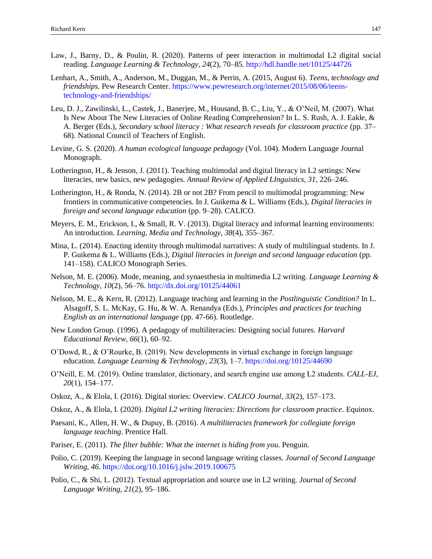- Law, J., Barny, D., & Poulin, R. (2020). Patterns of peer interaction in multimodal L2 digital social reading. *Language Learning & Technology, 24*(2), 70–85.<http://hdl.handle.net/10125/44726>
- Lenhart, A., Smith, A., Anderson, M., Duggan, M., & Perrin, A. (2015, August 6). *Teens, technology and friendships.* Pew Research Center. [https://www.pewresearch.org/internet/2015/08/06/teens](https://www.pewresearch.org/internet/2015/08/06/teens-technology-and-friendships/)[technology-and-friendships/](https://www.pewresearch.org/internet/2015/08/06/teens-technology-and-friendships/)
- Leu, D. J., Zawilinski, L., Castek, J., Banerjee, M., Housand, B. C., Liu, Y., & O'Neil, M. (2007). What Is New About The New Literacies of Online Reading Comprehension? In L. S. Rush, A. J. Eakle, & A. Berger (Eds.), *Secondary school literacy : What research reveals for classroom practice* (pp. 37– 68). National Council of Teachers of English.
- Levine, G. S. (2020). *A human ecological language pedagogy* (Vol. 104). Modern Language Journal Monograph.
- Lotherington, H., & Jenson, J. (2011). Teaching multimodal and digital literacy in L2 settings: New literacies, new basics, new pedagogies. *Annual Review of Applied LInguistics, 31*, 226–246.
- Lotherington, H., & Ronda, N. (2014). 2B or not 2B? From pencil to multimodal programming: New frontiers in communicative competencies. In J. Guikema & L. Williams (Eds.), *Digital literacies in foreign and second language education* (pp. 9–28). CALICO.
- Meyers, E. M., Erickson, I., & Small, R. V. (2013). Digital literacy and informal learning environments: An introduction. *Learning, Media and Technology, 38*(4), 355–367.
- Mina, L. (2014). Enacting identity through multimodal narratives: A study of multilingual students. In J. P. Guikema & L. Williams (Eds.), *Digital literacies in foreign and second language education* (pp. 141–158). CALICO Monograph Series.
- Nelson, M. E. (2006). Mode, meaning, and synaesthesia in multimedia L2 writing. *Language Learning & Technology, 10*(2), 56–76.<http://dx.doi.org/10125/44061>
- Nelson, M. E., & Kern, R. (2012). Language teaching and learning in the *Postlinguistic Condition?* In L. Alsagoff, S. L. McKay, G. Hu, & W. A. Renandya (Eds.), *Principles and practices for teaching English as an international language* (pp. 47-66). Routledge.
- New London Group. (1996). A pedagogy of multiliteracies: Designing social futures. *Harvard Educational Review, 66*(1), 60–92.
- O'Dowd, R., & O'Rourke, B. (2019). New developments in virtual exchange in foreign language education. *Language Learning & Technology, 23*(3), 1–7[. https://doi.org/10125/44690](https://doi.org/10125/44690)
- O'Neill, E. M. (2019). Online translator, dictionary, and search engine use among L2 students. *CALL-EJ, 20*(1), 154–177.
- Oskoz, A., & Elola, I. (2016). Digital stories: Overview. *CALICO Journal, 33*(2), 157–173.
- Oskoz, A., & Elola, I. (2020). *Digital L2 writing literacies: Directions for classroom practice*. Equinox.
- Paesani, K., Allen, H. W., & Dupuy, B. (2016). *A multiliteracies framework for collegiate foreign language teaching*. Prentice Hall.
- Pariser, E. (2011). *The filter bubble: What the internet is hiding from you*. Penguin.
- Polio, C. (2019). Keeping the language in second language writing classes. *Journal of Second Language Writing, 46*.<https://doi.org/10.1016/j.jslw.2019.100675>
- Polio, C., & Shi, L. (2012). Textual appropriation and source use in L2 writing. *Journal of Second Language Writing, 21*(2), 95–186.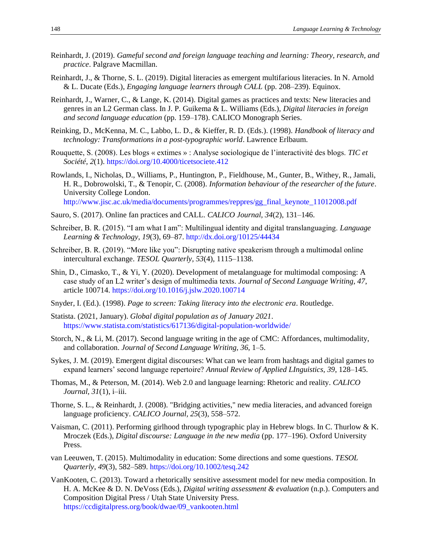- Reinhardt, J. (2019). *Gameful second and foreign language teaching and learning: Theory, research, and practice*. Palgrave Macmillan.
- Reinhardt, J., & Thorne, S. L. (2019). Digital literacies as emergent multifarious literacies. In N. Arnold & L. Ducate (Eds.), *Engaging language learners through CALL* (pp. 208–239). Equinox.
- Reinhardt, J., Warner, C., & Lange, K. (2014). Digital games as practices and texts: New literacies and genres in an L2 German class. In J. P. Guikema & L. Williams (Eds.), *Digital literacies in foreign and second language education* (pp. 159–178). CALICO Monograph Series.
- Reinking, D., McKenna, M. C., Labbo, L. D., & Kieffer, R. D. (Eds.). (1998). *Handbook of literacy and technology: Transformations in a post-typographic world*. Lawrence Erlbaum.
- Rouquette, S. (2008). Les blogs « extimes » : Analyse sociologique de l'interactivité des blogs. *TIC et Société, 2*(1).<https://doi.org/10.4000/ticetsociete.412>
- Rowlands, I., Nicholas, D., Williams, P., Huntington, P., Fieldhouse, M., Gunter, B., Withey, R., Jamali, H. R., Dobrowolski, T., & Tenopir, C. (2008). *Information behaviour of the researcher of the future*. University College London.

[http://www.jisc.ac.uk/media/documents/programmes/reppres/gg\\_final\\_keynote\\_11012008.pdf](http://www.jisc.ac.uk/media/documents/programmes/reppres/gg_final_keynote_11012008.pdf)

- Sauro, S. (2017). Online fan practices and CALL. *CALICO Journal, 34*(2), 131–146.
- Schreiber, B. R. (2015). "I am what I am": Multilingual identity and digital translanguaging. *Language Learning & Technology, 19*(3), 69–87[. http://dx.doi.org/10125/44434](http://dx.doi.org/10125/44434)
- Schreiber, B. R. (2019). "More like you": Disrupting native speakerism through a multimodal online intercultural exchange. *TESOL Quarterly, 53*(4), 1115–1138.
- Shin, D., Cimasko, T., & Yi, Y. (2020). Development of metalanguage for multimodal composing: A case study of an L2 writer's design of multimedia texts. *Journal of Second Language Writing, 47*, article 100714[. https://doi.org/10.1016/j.jslw.2020.100714](https://doi.org/10.1016/j.jslw.2020.100714)
- Snyder, I. (Ed.). (1998). *Page to screen: Taking literacy into the electronic era*. Routledge.
- Statista. (2021, January). *Global digital population as of January 2021*. <https://www.statista.com/statistics/617136/digital-population-worldwide/>
- Storch, N., & Li, M. (2017). Second language writing in the age of CMC: Affordances, multimodality, and collaboration. *Journal of Second Language Writing, 36*, 1–5.
- Sykes, J. M. (2019). Emergent digital discourses: What can we learn from hashtags and digital games to expand learners' second language repertoire? *Annual Review of Applied LInguistics, 39*, 128–145.
- Thomas, M., & Peterson, M. (2014). Web 2.0 and language learning: Rhetoric and reality. *CALICO Journal, 31*(1), i–iii.
- Thorne, S. L., & Reinhardt, J. (2008). "Bridging activities," new media literacies, and advanced foreign language proficiency. *CALICO Journal, 25*(3), 558–572.
- Vaisman, C. (2011). Performing girlhood through typographic play in Hebrew blogs. In C. Thurlow & K. Mroczek (Eds.), *Digital discourse: Language in the new media* (pp. 177–196). Oxford University Press.
- van Leeuwen, T. (2015). Multimodality in education: Some directions and some questions. *TESOL Quarterly, 49*(3), 582–589.<https://doi.org/10.1002/tesq.242>
- VanKooten, C. (2013). Toward a rhetorically sensitive assessment model for new media composition. In H. A. McKee & D. N. DeVoss (Eds.), *Digital writing assessment & evaluation* (n.p.). Computers and Composition Digital Press / Utah State University Press. [https://ccdigitalpress.org/book/dwae/09\\_vankooten.html](https://ccdigitalpress.org/book/dwae/09_vankooten.html)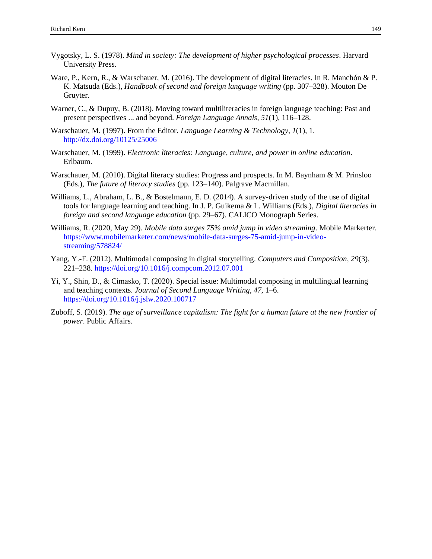- Vygotsky, L. S. (1978). *Mind in society: The development of higher psychological processes*. Harvard University Press.
- Ware, P., Kern, R., & Warschauer, M. (2016). The development of digital literacies. In R. Manchón & P. K. Matsuda (Eds.), *Handbook of second and foreign language writing* (pp. 307–328). Mouton De Gruyter.
- Warner, C., & Dupuy, B. (2018). Moving toward multiliteracies in foreign language teaching: Past and present perspectives ... and beyond. *Foreign Language Annals, 51*(1), 116–128.
- Warschauer, M. (1997). From the Editor. *Language Learning & Technology, 1*(1), 1. <http://dx.doi.org/10125/25006>
- Warschauer, M. (1999). *Electronic literacies: Language, culture, and power in online education*. Erlbaum.
- Warschauer, M. (2010). Digital literacy studies: Progress and prospects. In M. Baynham & M. Prinsloo (Eds.), *The future of literacy studies* (pp. 123–140). Palgrave Macmillan.
- Williams, L., Abraham, L. B., & Bostelmann, E. D. (2014). A survey-driven study of the use of digital tools for language learning and teaching. In J. P. Guikema & L. Williams (Eds.), *Digital literacies in foreign and second language education* (pp. 29–67). CALICO Monograph Series.
- Williams, R. (2020, May 29). *Mobile data surges 75% amid jump in video streaming*. Mobile Markerter. [https://www.mobilemarketer.com/news/mobile-data-surges-75-amid-jump-in-video](https://www.mobilemarketer.com/news/mobile-data-surges-75-amid-jump-in-video-streaming/578824/)[streaming/578824/](https://www.mobilemarketer.com/news/mobile-data-surges-75-amid-jump-in-video-streaming/578824/)
- Yang, Y.-F. (2012). Multimodal composing in digital storytelling. *Computers and Composition, 29*(3), 221–238.<https://doi.org/10.1016/j.compcom.2012.07.001>
- Yi, Y., Shin, D., & Cimasko, T. (2020). Special issue: Multimodal composing in multilingual learning and teaching contexts. *Journal of Second Language Writing, 47*, 1–6. <https://doi.org/10.1016/j.jslw.2020.100717>
- Zuboff, S. (2019). *The age of surveillance capitalism: The fight for a human future at the new frontier of power*. Public Affairs.